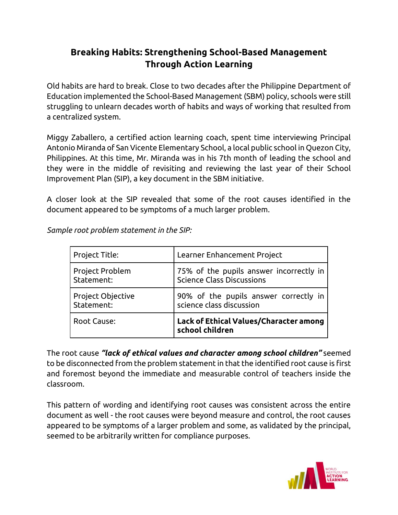## **Breaking Habits: Strengthening School-Based Management Through Action Learning**

Old habits are hard to break. Close to two decades after the Philippine Department of Education implemented the School-Based Management (SBM) policy, schools were still struggling to unlearn decades worth of habits and ways of working that resulted from a centralized system.

Miggy Zaballero, a certified action learning coach, spent time interviewing Principal Antonio Miranda of San Vicente Elementary School, a local public school in Quezon City, Philippines. At this time, Mr. Miranda was in his 7th month of leading the school and they were in the middle of revisiting and reviewing the last year of their School Improvement Plan (SIP), a key document in the SBM initiative.

A closer look at the SIP revealed that some of the root causes identified in the document appeared to be symptoms of a much larger problem.

| Project Title:    | Learner Enhancement Project                               |
|-------------------|-----------------------------------------------------------|
| Project Problem   | 75% of the pupils answer incorrectly in                   |
| Statement:        | Science Class Discussions                                 |
| Project Objective | 90% of the pupils answer correctly in                     |
| Statement:        | science class discussion                                  |
| Root Cause:       | Lack of Ethical Values/Character among<br>school children |

*Sample root problem statement in the SIP:* 

The root cause *"lack of ethical values and character among school children"* seemed to be disconnected from the problem statement in that the identified root cause is first and foremost beyond the immediate and measurable control of teachers inside the classroom.

This pattern of wording and identifying root causes was consistent across the entire document as well - the root causes were beyond measure and control, the root causes appeared to be symptoms of a larger problem and some, as validated by the principal, seemed to be arbitrarily written for compliance purposes.

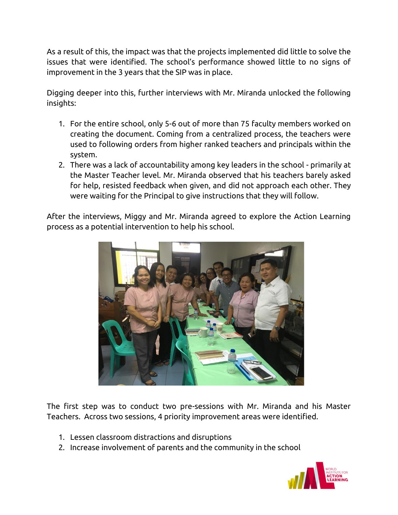As a result of this, the impact was that the projects implemented did little to solve the issues that were identified. The school's performance showed little to no signs of improvement in the 3 years that the SIP was in place.

Digging deeper into this, further interviews with Mr. Miranda unlocked the following insights:

- 1. For the entire school, only 5-6 out of more than 75 faculty members worked on creating the document. Coming from a centralized process, the teachers were used to following orders from higher ranked teachers and principals within the system.
- 2. There was a lack of accountability among key leaders in the school primarily at the Master Teacher level. Mr. Miranda observed that his teachers barely asked for help, resisted feedback when given, and did not approach each other. They were waiting for the Principal to give instructions that they will follow.

After the interviews, Miggy and Mr. Miranda agreed to explore the Action Learning process as a potential intervention to help his school.



The first step was to conduct two pre-sessions with Mr. Miranda and his Master Teachers. Across two sessions, 4 priority improvement areas were identified.

- 1. Lessen classroom distractions and disruptions
- 2. Increase involvement of parents and the community in the school

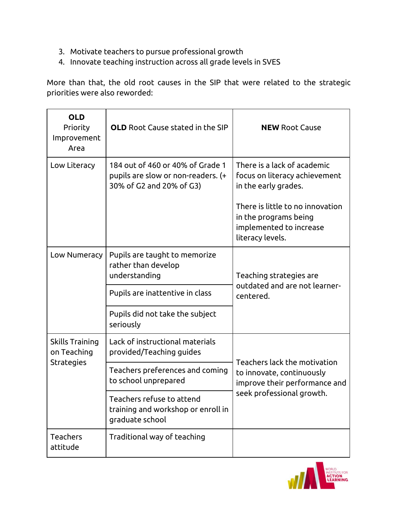- 3. Motivate teachers to pursue professional growth
- 4. Innovate teaching instruction across all grade levels in SVES

More than that, the old root causes in the SIP that were related to the strategic priorities were also reworded:

| <b>OLD</b><br>Priority<br>Improvement<br>Area       | <b>OLD</b> Root Cause stated in the SIP                                                                                                                                                                      | <b>NEW Root Cause</b>                                                                                                                                                                            |
|-----------------------------------------------------|--------------------------------------------------------------------------------------------------------------------------------------------------------------------------------------------------------------|--------------------------------------------------------------------------------------------------------------------------------------------------------------------------------------------------|
| Low Literacy                                        | 184 out of 460 or 40% of Grade 1<br>pupils are slow or non-readers. (+<br>30% of G2 and 20% of G3)                                                                                                           | There is a lack of academic<br>focus on literacy achievement<br>in the early grades.<br>There is little to no innovation<br>in the programs being<br>implemented to increase<br>literacy levels. |
| Low Numeracy                                        | Pupils are taught to memorize<br>rather than develop<br>understanding<br>Pupils are inattentive in class<br>Pupils did not take the subject<br>seriously                                                     | Teaching strategies are<br>outdated and are not learner-<br>centered.                                                                                                                            |
| Skills Training<br>on Teaching<br><b>Strategies</b> | Lack of instructional materials<br>provided/Teaching guides<br>Teachers preferences and coming<br>to school unprepared<br>Teachers refuse to attend<br>training and workshop or enroll in<br>graduate school | Teachers lack the motivation<br>to innovate, continuously<br>improve their performance and<br>seek professional growth.                                                                          |
| Teachers<br>attitude                                | Traditional way of teaching                                                                                                                                                                                  |                                                                                                                                                                                                  |

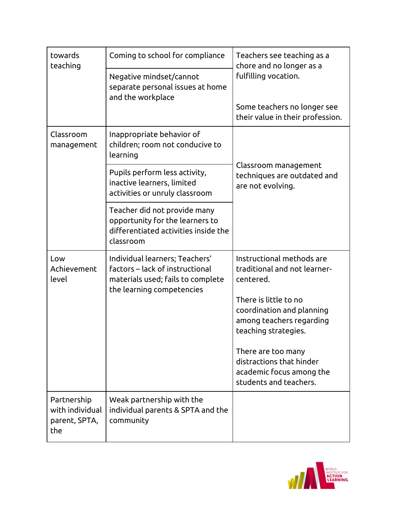| towards<br>teaching                                    | Coming to school for compliance                                                                                                     | Teachers see teaching as a<br>chore and no longer as a<br>fulfilling vocation.                         |
|--------------------------------------------------------|-------------------------------------------------------------------------------------------------------------------------------------|--------------------------------------------------------------------------------------------------------|
|                                                        | Negative mindset/cannot<br>separate personal issues at home<br>and the workplace                                                    |                                                                                                        |
|                                                        |                                                                                                                                     | Some teachers no longer see<br>their value in their profession.                                        |
| Classroom<br>management                                | Inappropriate behavior of<br>children; room not conducive to<br>learning                                                            | Classroom management<br>techniques are outdated and<br>are not evolving.                               |
|                                                        | Pupils perform less activity,<br>inactive learners, limited<br>activities or unruly classroom                                       |                                                                                                        |
|                                                        | Teacher did not provide many<br>opportunity for the learners to<br>differentiated activities inside the<br>classroom                |                                                                                                        |
| Low<br>Achievement<br>level                            | Individual learners; Teachers'<br>factors – lack of instructional<br>materials used; fails to complete<br>the learning competencies | Instructional methods are<br>traditional and not learner-<br>centered.                                 |
|                                                        |                                                                                                                                     | There is little to no<br>coordination and planning<br>among teachers regarding<br>teaching strategies. |
|                                                        |                                                                                                                                     | There are too many<br>distractions that hinder<br>academic focus among the<br>students and teachers.   |
| Partnership<br>with individual<br>parent, SPTA,<br>the | Weak partnership with the<br>individual parents & SPTA and the<br>community                                                         |                                                                                                        |

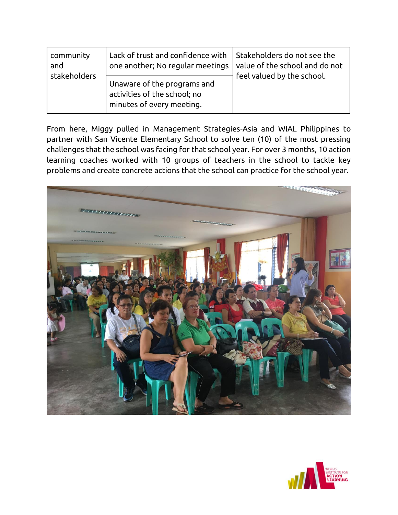| community<br>and<br>stakeholders | Lack of trust and confidence with<br>one another; No regular meetings                    | Stakeholders do not see the<br>value of the school and do not<br>feel valued by the school. |
|----------------------------------|------------------------------------------------------------------------------------------|---------------------------------------------------------------------------------------------|
|                                  | Unaware of the programs and<br>activities of the school; no<br>minutes of every meeting. |                                                                                             |

From here, Miggy pulled in Management Strategies-Asia and WIAL Philippines to partner with San Vicente Elementary School to solve ten (10) of the most pressing challenges that the school was facing for that school year. For over 3 months, 10 action learning coaches worked with 10 groups of teachers in the school to tackle key problems and create concrete actions that the school can practice for the school year.



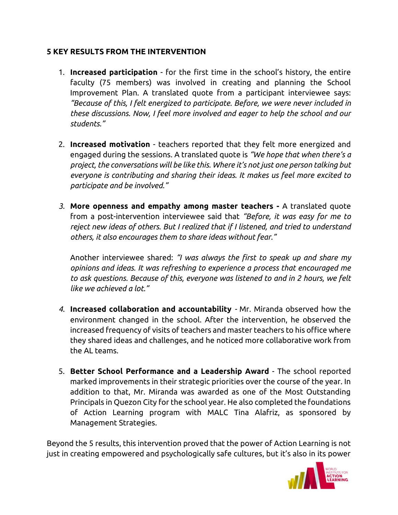## **5 KEY RESULTS FROM THE INTERVENTION**

- 1. **Increased participation** for the first time in the school's history, the entire faculty (75 members) was involved in creating and planning the School Improvement Plan. A translated quote from a participant interviewee says: *"Because of this, I felt energized to participate. Before, we were never included in these discussions. Now, I feel more involved and eager to help the school and our students."*
- 2. **Increased motivation**  teachers reported that they felt more energized and engaged during the sessions. A translated quote is *"We hope that when there's a project, the conversations will be like this. Where it's not just one person talking but everyone is contributing and sharing their ideas. It makes us feel more excited to participate and be involved."*
- *3.* **More openness and empathy among master teachers -** A translated quote from a post-intervention interviewee said that *"Before, it was easy for me to reject new ideas of others. But I realized that if I listened, and tried to understand others, it also encourages them to share ideas without fear."*

Another interviewee shared: *"I was always the first to speak up and share my opinions and ideas. It was refreshing to experience a process that encouraged me to ask questions. Because of this, everyone was listened to and in 2 hours, we felt like we achieved a lot."*

- *4.* **Increased collaboration and accountability** *-* Mr. Miranda observed how the environment changed in the school. After the intervention, he observed the increased frequency of visits of teachers and master teachers to his office where they shared ideas and challenges, and he noticed more collaborative work from the AL teams.
- 5. **Better School Performance and a Leadership Award** The school reported marked improvements in their strategic priorities over the course of the year. In addition to that, Mr. Miranda was awarded as one of the Most Outstanding Principals in Quezon City for the school year. He also completed the foundations of Action Learning program with MALC Tina Alafriz, as sponsored by Management Strategies.

Beyond the 5 results, this intervention proved that the power of Action Learning is not just in creating empowered and psychologically safe cultures, but it's also in its power